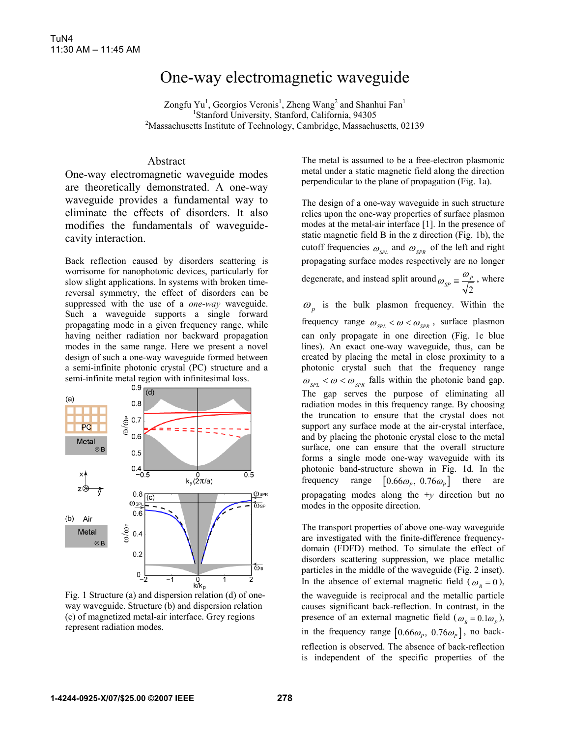## One-way electromagnetic waveguide

Zongfu Yu<sup>1</sup>, Georgios Veronis<sup>1</sup>, Zheng Wang<sup>2</sup> and Shanhui Fan<sup>1</sup> <sup>1</sup>Stanford University, Stanford, California, 94305<sup>2</sup>Messesbusetts Institute of Technology, Combridge, Messesbu <sup>2</sup>Massachusetts Institute of Technology, Cambridge, Massachusetts, 02139

## Abstract

One-way electromagnetic waveguide modes are theoretically demonstrated. A one-way waveguide provides a fundamental way to eliminate the effects of disorders. It also modifies the fundamentals of waveguidecavity interaction.

Back reflection caused by disorders scattering is worrisome for nanophotonic devices, particularly for slow slight applications. In systems with broken timereversal symmetry, the effect of disorders can be suppressed with the use of a *one-way* waveguide. Such a waveguide supports a single forward propagating mode in a given frequency range, while having neither radiation nor backward propagation modes in the same range. Here we present a novel design of such a one-way waveguide formed between a semi-infinite photonic crystal (PC) structure and a semi-infinite metal region with infinitesimal loss.



Fig. 1 Structure (a) and dispersion relation (d) of oneway waveguide. Structure (b) and dispersion relation (c) of magnetized metal-air interface. Grey regions represent radiation modes.

The metal is assumed to be a free-electron plasmonic metal under a static magnetic field along the direction perpendicular to the plane of propagation (Fig. 1a).

The design of a one-way waveguide in such structure relies upon the one-way properties of surface plasmon modes at the metal-air interface [1]. In the presence of static magnetic field B in the z direction (Fig. 1b), the cutoff frequencies  $\omega_{\text{SPL}}$  and  $\omega_{\text{SPR}}$  of the left and right propagating surface modes respectively are no longer degenerate, and instead split around  $\omega_{SP} = \frac{\omega_p}{\sqrt{2}}$ , where  $\omega_p$  is the bulk plasmon frequency. Within the

frequency range  $\omega_{\text{SPL}} < \omega < \omega_{\text{SPR}}$ , surface plasmon can only propagate in one direction (Fig. 1c blue lines). An exact one-way waveguide, thus, can be created by placing the metal in close proximity to a photonic crystal such that the frequency range  $\omega_{SPL} < \omega < \omega_{SPR}$  falls within the photonic band gap. The gap serves the purpose of eliminating all radiation modes in this frequency range. By choosing the truncation to ensure that the crystal does not support any surface mode at the air-crystal interface, and by placing the photonic crystal close to the metal surface, one can ensure that the overall structure forms a single mode one-way waveguide with its photonic band-structure shown in Fig. 1d. In the frequency range  $[0.66\omega_{P}$ ,  $0.76\omega_{P}$  there are propagating modes along the +*y* direction but no modes in the opposite direction.

The transport properties of above one-way waveguide are investigated with the finite-difference frequencydomain (FDFD) method. To simulate the effect of disorders scattering suppression, we place metallic particles in the middle of the waveguide (Fig. 2 inset). In the absence of external magnetic field ( $\omega_B = 0$ ), the waveguide is reciprocal and the metallic particle causes significant back-reflection. In contrast, in the presence of an external magnetic field  $(\omega_B = 0.1\omega_P)$ , in the frequency range  $[0.66\omega_p, 0.76\omega_p]$ , no backreflection is observed. The absence of back-reflection is independent of the specific properties of the